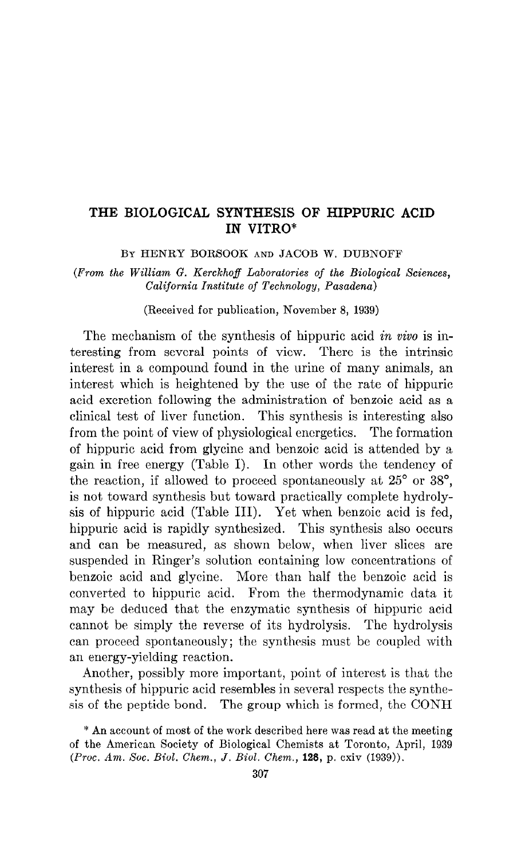## THE BIOLOGICAL SYNTHESIS OF HIPPURIC ACID IN VITRO\*

BY HENRY BORSOOK AND JACOB W. DUBNOFF

(Prom the William G. Kerckhoff Laboratories of the Biological Sciences, California Institute of Technology, Pasadena)

(Received for publication, November 8, 1939)

The mechanism of the synthesis of hippuric acid in vivo is interesting from several points of view. There is the intrinsic interest in a compound found in the urine of many animals, an interest which is heightened by the use of the rate of hippuric acid excretion following the administration of benzoic acid as a clinical test of liver function. This synthesis is interesting also from the point of view of physiological cncrgetics. The formation of hippuric acid from glycine and benzoic acid is attended by a gain in free energy (Table I). In other words the tendency of the reaction, if allowed to proceed spontaneously at  $25^{\circ}$  or  $38^{\circ}$ , is not toward synthesis but toward practically complete hydrolysis of hippuric acid (Table III). Yet when benzoic acid is fed, hippuric acid is rapidly synthesized. This synthesis also occurs and can be measured, as shown below, when liver slices are suspended in Ringer's solution containing low concentrations of benzoic acid and glycine. More than half the benzoic acid is converted to hippuric acid. From the thermodynamic data it may bc deduced that the enzymatic synthesis of hippuric acid cannot be simply the reverse of its hydrolysis. The hydrolysis can proceed spontaneously; the synthesis must be coupled with an energy-yielding reaction.

Another, possibly more important, point of interest is that the synthesis of hippuric acid resembles in several respects the synthesis of the peptidc bond. The group which is formed, the CONH

<sup>\*</sup> An account of most of the work described here was read at the meeting of the American Society of Biological Chemists at Toronto, April, 1939  $(Proc. Am. Soc. Biol. Chem., J. Biol. Chem., 128, p. exiv (1939)).$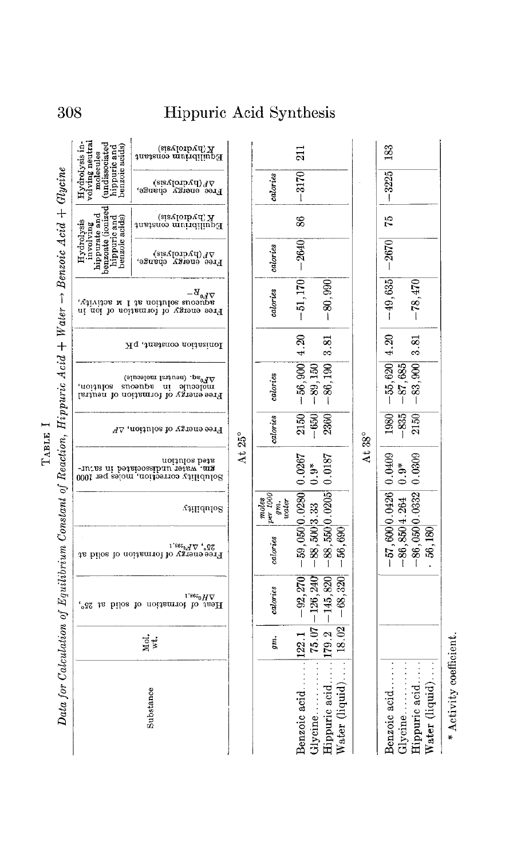Hydrolysis hippurate and t. mxmate and t. mxmate and hippuric and benroic acids) Hydrolysis in- mippure and benzoic acids) Hydrolysis in- mippure and benroic acids) hippure acids) hippure acids) hippure acids) Kquilibrium constant<br>Equilibrium constant Data for Calculation of Equilibrium Constant of Reaction, Hippuric Acid + Water  $\rightarrow$  Benzoic Acid + Glycine  $\begin{array}{ll} \nabla F(\text{hydrolysis}) \\ \n\text{Free energy} \\ \n\end{array}$ Data for Calculation of Equilibrium Constant of Reaction, Hippuric Acid + Water  $\rightarrow$  Benzoic Acid + Glyci K (hydrolysis)<br>Equilibrium constant  $\nabla F$ (hydrolysis)<br>Free energy change,  $\begin{array}{ll} \mbox{in a.~infty for a point of $p$} \\ \mbox{a.~infty for a point of $p$} \\ \mbox{a.~infty for a point of $p$} \\ \mbox{a.~infty for a point of $p$} \end{array}$ Honiastion constant, pK  $\mathbb{V}^{\text{B}}_{\text{P}} \circ \mathbb{V}^{\text{acl}} \circ \mathbb{V}^{\text{acl}} \circ \mathbb{V}^{\text{acl}} \circ \mathbb{V}^{\text{acl}}$ Free encycloped in a solution,<br>In added in a solution, and the solution, Free energy of solution,  $\Delta F$ At 25" Solution<br>2m. water undissociated in satur-<br>2m. water onitrios between Solubility  $\Delta H^{\rm 0,98.1}_{\rm 1.88^{20}M\Delta}$  Then to mation of solid at 25°, Mol.  $\text{Substance}$ Substance

|                                                                                                           | gm. | calories                                                                                                          | calories                                        | $\begin{array}{ c } \hline \hline \text{gen.} & 1000 \text{ }\text{cm.} \\\hline \text{gen.} & \text{under.} \\\hline \end{array}$<br>moles |               | calories calories | calories                                     | calories |    | calories    |    |
|-----------------------------------------------------------------------------------------------------------|-----|-------------------------------------------------------------------------------------------------------------------|-------------------------------------------------|---------------------------------------------------------------------------------------------------------------------------------------------|---------------|-------------------|----------------------------------------------|----------|----|-------------|----|
| Benzoic acid<br>Glycine                                                                                   |     | $\left  122.1 \right $ $-92.270$ $-59.050$ $(0.590)$ $0.0280$ $(0.0267)$<br>$15.07 - 126,240$ $-88,500 3.33$ 0.9* |                                                 |                                                                                                                                             |               | $-650  -89,150 $  | $2150$ $-56,900$ 4.20 $-51,170$ $-2640$      |          | 86 | $-3170$     | 21 |
| Hippuric acid [179.2 $ -145,820 $ $-88,550 0.0205 0.0187$<br>Water (liquid). $ 18.02 $ -68,320 $-56,690 $ |     |                                                                                                                   |                                                 |                                                                                                                                             |               |                   | $2360$ $-80$ , $190$ $3.81$ $-80$ , $990$    |          |    |             |    |
|                                                                                                           |     |                                                                                                                   |                                                 |                                                                                                                                             | At $38^\circ$ |                   |                                              |          |    |             |    |
| Benzoic acid<br>Glycine                                                                                   |     |                                                                                                                   | $-57,600 0.0426 0.0409$<br>$-86,850 4.264 0.9*$ |                                                                                                                                             |               | $-835  -87,685 $  | $1980$ $-55,620$ $4.20$ $-49,635$ $-2670$ 75 |          |    | $-3225$ 183 |    |
| Water $(liquid)$<br>Hippuric acid                                                                         |     |                                                                                                                   | $-86,050 0.0332 0.0309$<br>56,180               |                                                                                                                                             |               |                   | $2150$ $-83,900$ $3.81$ $-78,470$            |          |    |             |    |

 $*$  Activity coefficie

\* Activity coefficient.

TABLE I

308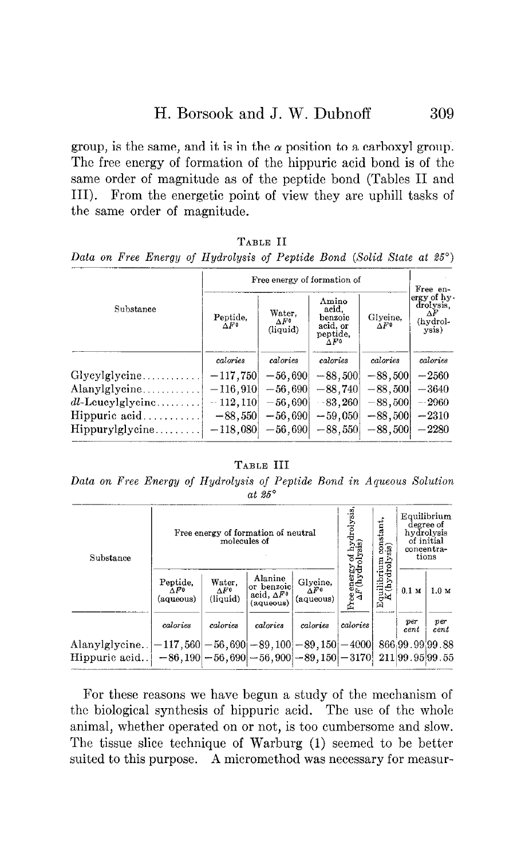group, is the same, and it is in the  $\alpha$  position to a carboxyl group. The free energy of formation of the hippuric acid bond is of the same order of magnitude as of the peptide bond (Tables II and III). From the energetic point of view they are uphill tasks of the same order of magnitude.

### TABLE II

Data on Free Energy of Hydrolysis of Peptide Bond (Solid State at 25°)

|                        |                          | Free energy of formation of        |                                                                   |                          | Free en-                                            |
|------------------------|--------------------------|------------------------------------|-------------------------------------------------------------------|--------------------------|-----------------------------------------------------|
| Substance              | Peptide,<br>$\Delta F^0$ | Water.<br>$\Delta F^0$<br>(liquid) | Amino<br>acid.<br>benzoic<br>acid, or<br>peptide,<br>$\Delta F^0$ | Glycine,<br>$\Delta F^0$ | ergy of hy-<br>drolysis,<br>ΔF<br>(hydrol-<br>ysis) |
|                        | calories                 | calories                           | calories                                                          | calories                 | calories                                            |
|                        | $-117,750$               | $-56,690$                          | $-88,500$                                                         | $-88,500$                | $-2560$                                             |
| Alanylglycine          | $-116,910$               | $-56,690$                          | $-88,740$                                                         | $-88,500$                | $-3640$                                             |
| $dl$ -Leucylglycine    | $-112,110$               | $-56,690$                          | $-83,260$                                                         | $-88,500$                | $-2960$                                             |
| Hippuric acid          | $-88,550$                | $-56,690$                          | $-59,050$                                                         | $-88,500$                | $-2310$                                             |
| $Hippurylycine \ldots$ | $-118,080$               | $-56,690$                          | $-88,550$                                                         | $-88,500$                | $-2280$                                             |

#### TABLE III

Data on Free Energy of Hydrolysis of Peptide Bond in Aqueous Solution at  $25^\circ$ 

| Substance                                                                                                                                                                                                |                                       | molecules of                       | Free energy of formation of neutral                       |                              | drolysis<br>kyd<br>sis)                 | $\frac{\text{constant}}{\text{sis}}$ | hydrolysis<br>of initial<br>concentra-<br>tions | Equilibrium<br>degree of |
|----------------------------------------------------------------------------------------------------------------------------------------------------------------------------------------------------------|---------------------------------------|------------------------------------|-----------------------------------------------------------|------------------------------|-----------------------------------------|--------------------------------------|-------------------------------------------------|--------------------------|
|                                                                                                                                                                                                          | Peptide,<br>$\Lambda F0$<br>(aqueous) | Water,<br>$\Delta F^0$<br>(liquid) | Alanine<br>or benzoicl<br>acid, $\Delta F^0$<br>(aqueous) | Glycine.<br>ÀF0<br>(aqueous) | Free energy of $\Delta F({\rm hydroly}$ | Auilibrium<br>K(hydrolys<br>囟        | 0.1 <sub>M</sub>                                | 1.0 <sub>M</sub>         |
|                                                                                                                                                                                                          | calories                              | calories                           | calories                                                  | calories                     | calories                                |                                      | $_{per}$<br>$_{cent}$                           | per<br>$_{cent}$         |
| $\text{Alany}$ lglycine $[-117, 560] - 56, 690] - 89, 100] - 89, 150] - 4000]$<br>$\text{Hippuric acid} = \mid -86,190 \mid -56,690 \mid -56,900 \mid -89,150 \mid -3170 \mid 211 \mid 99.95 \mid 99.55$ |                                       |                                    |                                                           |                              |                                         |                                      | 866 99.99 99.88                                 |                          |

For these reasons we have begun a study of the mechanism of the biological synthesis of hippuric acid. The use of the whole animal, whether operated on or not, is too cumbersome and slow. The tissue slice technique of Warburg (1) seemed to be better suited to this purpose. A micromethod was necessary for measur-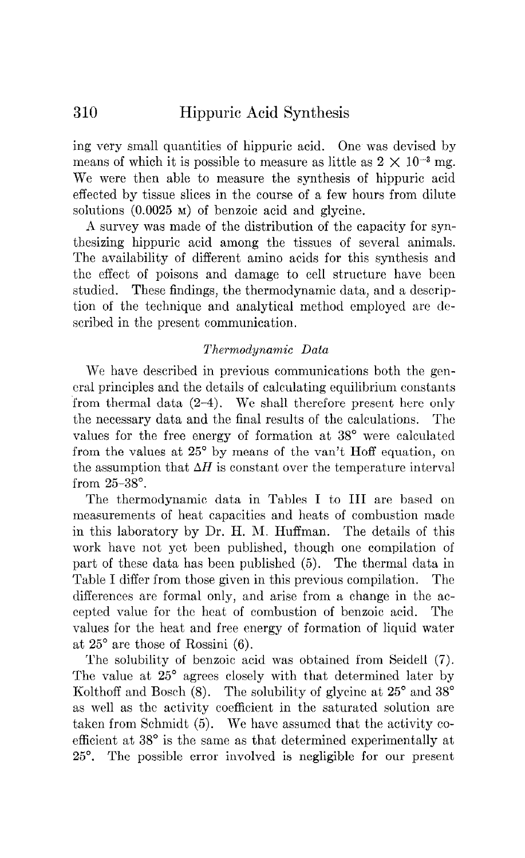ing very small quantities of hippuric acid. One was devised by means of which it is possible to measure as little as  $2 \times 10^{-3}$  mg. We were then able to measure the synthesis of hippuric acid effected by tissue slices in the course of a few hours from dilute solutions (0.0025 M) of benzoic acid and glycine.

A survey was made of the distribution of the capacity for synthesizing hippuric acid among the tissues of several animals. The availability of different amino acids for this synthesis and the effect of poisons and damage to cell structure have been studied. These findings, the thermodynamic data, and a description of the technique and analytical method employed are described in the present communication.

### Thermodynamic Data

We have described in previous communications both the genera1 principles and the details of calculating equilibrium constants from thermal data (2-4). We shall therefore present here only the necessary data and the final results of the calculations. The values for the free energy of formation at 38° were calculated from the values at 25" by means of the van't Hoff equation, on the assumption that  $\Delta H$  is constant over the temperature interval from 25-38".

The thermodynamic data in Tables I to III are based on measurements of heat capacities and heats of combustion made in this laboratory by Dr. H. M. Huffman. The details of this work have not yet been published, though one compilation of part of these data has been published (5). The thermal data in Table I differ from those given in this previous compilation. The differences are formal only, and arise from a change in the accepted value for the heat of combustion of benzoic acid. The values for the heat and free energy of formation of liquid water at 25" are those of Rossini (6).

The solubility of benzoic acid was obtained from Seidell (7). The value at  $25^{\circ}$  agrees closely with that determined later by Kolthoff and Bosch  $(8)$ . The solubility of glycine at  $25^{\circ}$  and  $38^{\circ}$ as well as the activity coefficient in the saturated solution are taken from Schmidt (5). We have assumed that the activity coefficient at 38" is the same as that determined experimentally at 25". The possible error involved is negligible for our present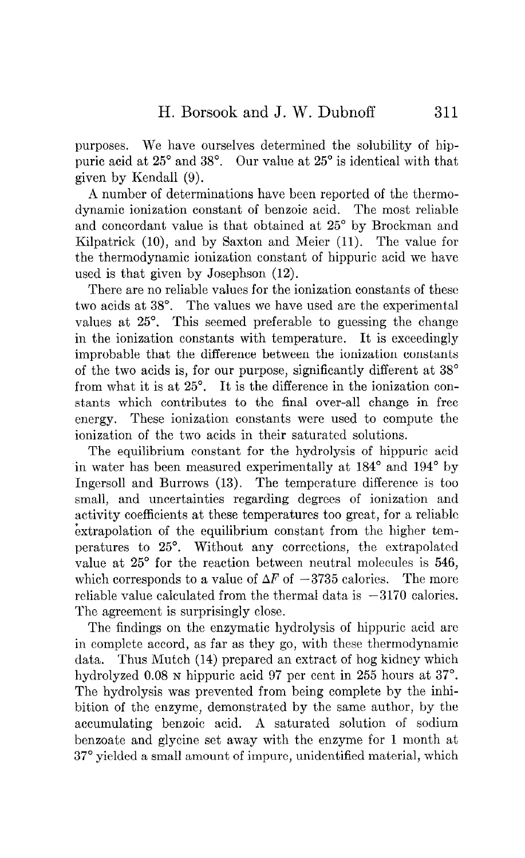purposes. We have ourselves determined the solubility of hippuric acid at 25" and 38". Our value at 25" is identical with that given by Kendall (9).

A number of determinations have been reported of the thermodynamic ionization constant of benzoic acid. The most reliable and concordant value is that obtained at 25" by Brockman and Kilpatrick (10), and by Saxton and Meier (11). The value for the thermodynamic ionization constant of hippuric acid we have used is that given by Josephson (12).

There are no reliable values for the ionization constants of these two acids at 38°. The values we have used are the experimental values at 25<sup>°</sup>. This seemed preferable to guessing the change in the ionization constants with temperature. It is exceedingly improbable that the difference between the ionization constants of the two acids is, for our purpose, significantly different at 38" from what it is at 25°. It is the difference in the ionization constants which contributes to the final over-all change in free energy. These ionization constants were used to compute the ionization of the two acids in their saturated solutions.

The equilibrium constant for the hydrolysis of hippuric acid in water has been measured experimentally at 184<sup>°</sup> and 194<sup>°</sup> by Ingersoll and Burrows (13). The temperature difference is too small, and uncertainties regarding degrees of ionization and activity coefficients at these temperatures too great, for a reliable extrapolation of the equilibrium constant from the higher temperatures to 25°. Without any corrections, the extrapolated value at 25' for the reaction between neutral molecules is 546, which corresponds to a value of  $\Delta F$  of  $-3735$  calories. The more reliable value calculated from the thermal data is  $-3170$  calories. The agreement is surprisingly close.

The findings on the enzymatic hydrolysis of hippuric acid arc in complete accord, as far as they go, with these thermodynamic data. Thus Mutch (14) prepared an extract of hog kidney which hydrolyzed 0.08 N hippuric acid 97 per cent in 255 hours at 37°. The hydrolysis was prevented from being complete by the inhibition of the enzyme, demonstrated by the same author, by the accumulating benzoic acid. A saturated solution of sodium benzoate and glycine set away with the enzyme for 1 month at 37" yielded a small amount of impure, unidentified material, which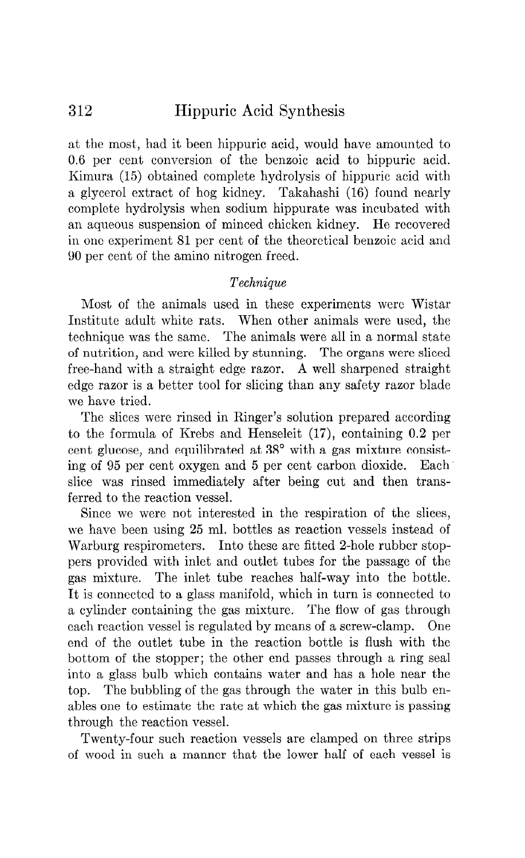at the most, had it been hippuric acid, would have amounted to 0.6 per cent conversion of the benzoic acid to hippuric acid. Kimura (15) obtained complete hydrolysis of hippuric acid with a glycerol extract of hog kidney. Takahashi (16) found nearly complete hydrolysis when sodium hippurate was incubated with an aqueous suspension of minced chicken kidney. Ho recovered in one experiment 81 per cent of the theoretical benzoic acid and 90 per cent of the amino nitrogen freed.

## Technique

Most of the animals used in these experiments were Wistar Institute adult white rats. When other animals were used, the technique was the same. The animals were all in a normal state of nutrition, and were killed by stunning. The organs were sliced free-hand with a straight edge razor. A well sharpened straight edge razor is a better tool for slicing than any safety razor blade we have tried.

The slices were rinsed in Ringer's solution prepared according to the formula of Krebs and Henseleit (17), containing 0.2 per cent glucose, and equilibrated at 38° with a gas mixture consisting of 95 per cent oxygen and 5 per cent carbon dioxide. Each slice was rinsed immediately after being cut and then transferred to the reaction vessel.

Since we were not interested in the respiration of the slices, we have been using 25 ml. bottles as reaction vessels instead of Warburg respirometers. Into these are fitted 2-hole rubber stoppers provided with inlet and outlet tubes for the passage of the gas mixture. The inlet tube reaches half-way into the bottle. It is connected to a glass manifold, which in turn is connected to a cylinder containing the gas mixture. The flow of gas through each reaction vessel is regulated by means of a screw-clamp. One end of the outlet tube in the reaction bottle is flush with the bottom of the stopper; the other end passes through a ring seal into a glass bulb which contains water and has a hole near the top. The bubbling of the gas through the water in this bulb enables one to estimate the rate at which the gas mixture is passing through the reaction vessel.

Twenty-four such reaction vessels are clamped on three strips of wood in such a manner that the lower half of each vessel is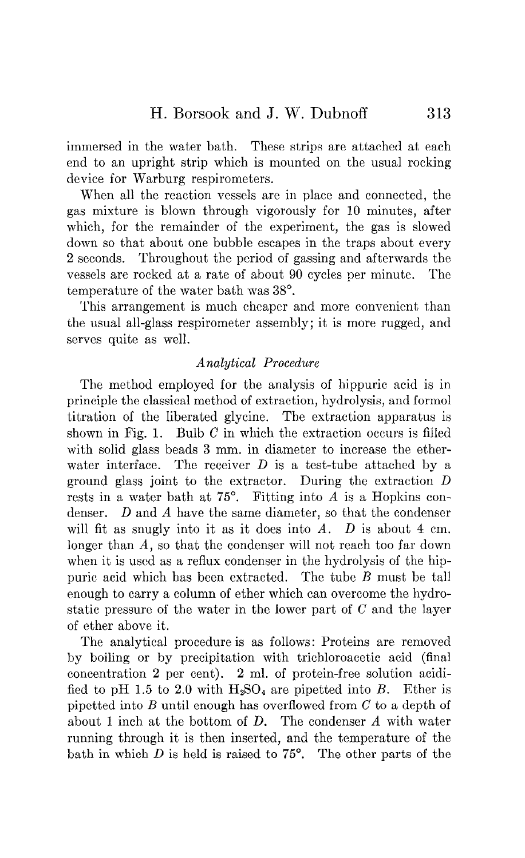immersed in the water bath. These strips are attached at each end to an upright strip which is mounted on the usual rocking device for Warburg respirometers.

When all the reaction vessels are in place and connected, the gas mixture is blown through vigorously for 10 minutes, after which, for the remainder of the experiment, the gas is slowed down so that about one bubble escapes in the traps about every 2 seconds. Throughout the period of gassing and afterwards the vessels are rocked at a rate of about 90 cycles per minute. The temperature of the water bath was 38".

This arrangement is much cheaper and more convenient than the usual all-glass respirometer assembly; it is more rugged, and serves quite as well.

## Analytical Procedure

The method employed for the analysis of hippuric acid is in principle the classical method of extraction, hydrolysis, and formol titration of the liberated glycine. The extraction apparatus is shown in Fig. 1. Bulb  $C$  in which the extraction occurs is filled with solid glass beads 3 mm. in diameter to increase the etherwater interface. The receiver  $D$  is a test-tube attached by a ground glass joint to the extractor. During the extraction D rests in a water bath at  $75^\circ$ . Fitting into A is a Hopkins condenser.  $D$  and  $A$  have the same diameter, so that the condenser will fit as snugly into it as it does into  $A$ .  $D$  is about  $4 \text{ cm}$ . longer than A, so that the condenser will not reach too far down when it is used as a reflux condenser in the hydrolysis of the hippuric acid which has been extracted. The tube B must be tall enough to carry a column of ether which can overcome the hydrostatic pressure of the water in the lower part of C and the layer of ether above it.

The analytical procedure is as follows: Proteins are removed by boiling or by precipitation with trichloroacetic acid (final concentration 2 per cent). 2 ml. of protein-free solution acidified to pH 1.5 to 2.0 with  $H_2SO_4$  are pipetted into B. Ether is pipetted into B until enough has overflowed from  $C$  to a depth of about 1 inch at the bottom of D. The condenser A with water running through it is then inserted, and the temperature of the bath in which  $D$  is held is raised to  $75^\circ$ . The other parts of the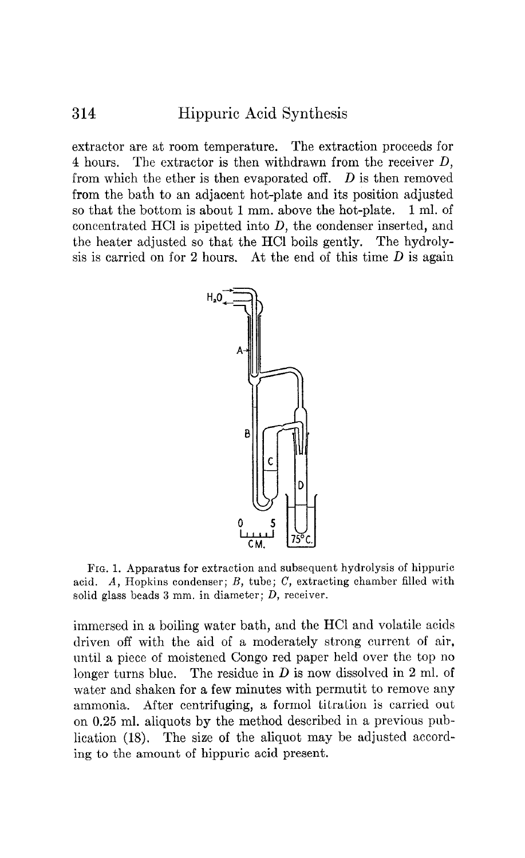extractor are at room temperature. The extraction proceeds for 4 hours. The extractor is then withdrawn from the receiver D, from which the ether is then evaporated off.  $D$  is then removed from the bath to an adjacent hot-plate and its position adjusted so that the bottom is about 1 mm. above the hot-plate. 1 ml. of concentrated HCl is pipetted into D, the condenser inserted, and the heater adjusted so that the HCl boils gently. The hydrolysis is carried on for 2 hours. At the end of this time  $D$  is again



FIG. 1. Apparatus for extraction and subsequent hydrolysis of hippuric acid.  $A$ , Hopkins condenser;  $B$ , tube;  $C$ , extracting chamber filled with solid glass beads 3 mm. in diameter; D, receiver.

immersed in a boiling water bath, and the HCl and volatile acids driven off with the aid of a moderately strong current of air, until a piece of moistened Congo red paper held over the top no longer turns blue. The residue in  $D$  is now dissolved in 2 ml. of water and shaken for a few minutes with permutit to remove any ammonia. After centrifuging, a formol titration is carried out on 0.25 ml. aliquots by the method described in a previous publication (18). The size of the aliquot may be adjusted according to the amount of hippuric acid present.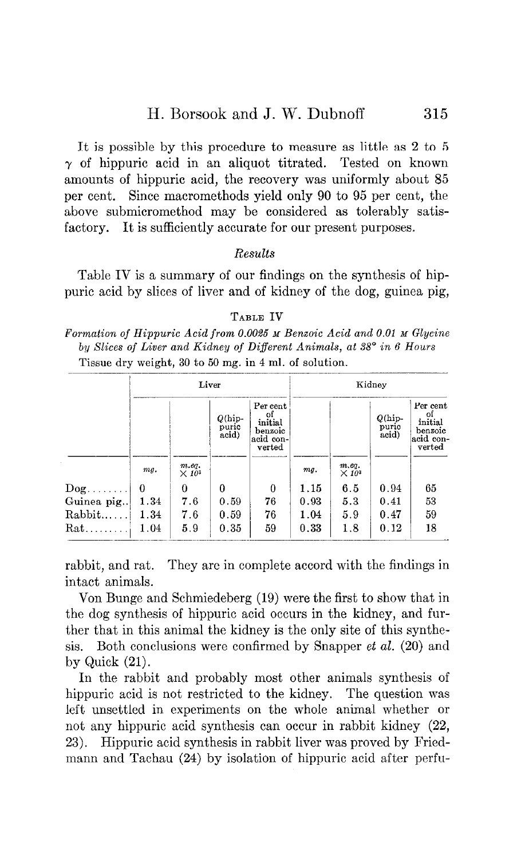It is possible by this procedure to measure as little as 2 to 5  $\gamma$  of hippuric acid in an aliquot titrated. Tested on known amounts of hippuric acid, the recovery was uniformly about 85 per cent. Since macromethods yield only 90 to 95 per cent, the above submicromethod may be considered as tolerably satisfactory. It is sufficiently accurate for our present purposes.

### Results

Table IV is a summary of our findings on the synthesis of hippuric acid by slices of liver and of kidney of the dog, guinea pig,

TABLE IV Formation of Hippuric Acid from 0.0025 M Benzoic Acid and 0.01 M Glycine by Slices of Liver and Kidney of Different Animals, at 38° in 6 Hours Tissue dry weight, 30 to 50 mg. in 4 ml. of solution.

|            |      |                                   | Liver                              |                                                             |      |                                   | Kidney                             |                                                                         |
|------------|------|-----------------------------------|------------------------------------|-------------------------------------------------------------|------|-----------------------------------|------------------------------------|-------------------------------------------------------------------------|
|            |      |                                   | $Q(\text{hip} -$<br>puric<br>acid) | Per cent<br>of<br>initial<br>benzoic<br>acid con-<br>verted |      |                                   | $Q(\text{hip} -$<br>puric<br>acid) | Per cent<br>$_{\rm initial}^{\rm of}$<br>benzoic<br>acid con-<br>verted |
|            | mg.  | m.eq.<br>$\times$ 10 <sup>3</sup> |                                    |                                                             | mg.  | m.eq.<br>$\times$ 10 <sup>3</sup> |                                    |                                                                         |
| $\log$     | 0    | 0                                 | 0                                  | $\theta$                                                    | 1.15 | 6.5                               | 0.94                               | 65                                                                      |
| Guinea pig | 1.34 | 7.6                               | 0.59                               | 76                                                          | 0.93 | 5.3                               | 0.41                               | 53                                                                      |
| Rabbit     | 1.34 | 7.6                               | 0.59                               | 76                                                          | 1.04 | 5.9                               | 0.47                               | 59                                                                      |
| $Rat$      | 1.04 | 5.9                               | 0.35                               | 59                                                          | 0.33 | 1.8                               | 0.12                               | 18                                                                      |

rabbit, and rat. They arc in complete accord with the findings in intact animals.

Von Bunge and Schmiedcberg (19) were the first to show that in the dog synthesis of hippuric acid occurs in the kidney, and further that in this animal the kidney is the only site of this synthesis. Both conclusions were confirmed by Snapper et al. (20) and by Quick (21).

In the rabbit and probably most other animals synthesis of hippuric acid is not restricted to the kidney. The question was left unsettled in experiments on the whole animal whether or not any hippuric acid synthesis can occur in rabbit kidney (22, 23). Hippuric acid synthesis in rabbit liver was proved by Friedmann and Tachau (24) by isolation of hippuric acid after perfu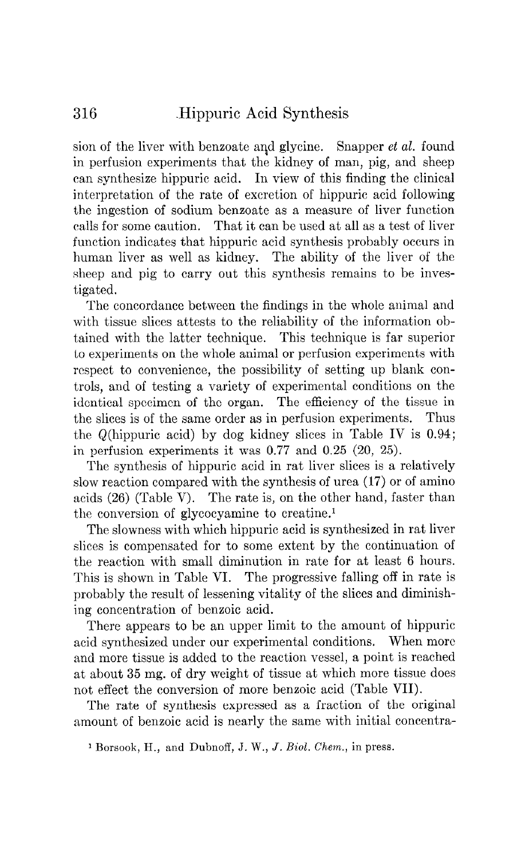sion of the liver with benzoate and glycine. Snapper et al. found in perfusion experiments that the kidney of man, pig, and sheep can synthesize hippuric acid. In view of this finding the clinical interpretation of the rate of excretion of hippuric acid following the ingestion of sodium benzoate as a measure of liver function calls for some caution. That it can be used at all as a test of liver function indicates that hippuric acid synthesis probably occurs in human liver as well as kidney. The ability of the liver of the sheep and pig to carry out this synthesis remains to be investigated.

The concordance between the findings in the whole animal and with tissue slices attests to the reliability of the information obtained with the latter technique. This technique is far superior to experiments on the whole animal or perfusion experiments with respect to convenience, the possibility of setting up blank controls, and of testing a variety of experimental conditions on the identical specimen of the organ. The efficiency of the tissue in the slices is of the same order as in perfusion experiments. Thus the Q(hippuric acid) by dog kidney slices in Table IV is 0.94; in perfusion experiments it was 0.77 and 0.25 (20, 25).

The synthesis of hippuric acid in rat liver slices is a relatively slow reaction compared with the synthesis of urea (17) or of amino acids (26) (Table V). The rate is, on the other hand, faster than the conversion of glycocyamine to creatine.'

The slowness with which hippuric acid is synthesized in rat liver slices is compensated for to some extent by the continuation of the reaction with small diminution in rate for at least 6 hours. This is shown in Table VI. The progressive falling off in rate is probably the result of lessening vitality of the slices and diminishing concentration of benzoic acid.

There appears to be an upper limit to the amount of hippuric acid synthesized under our experimental conditions. When more and more tissue is added to the reaction vessel, a point is reached at about 35 mg. of dry weight of tissue at which more tissue does not effect the conversion of more benzoic acid (Table VII).

The rate of synthesis expressed as a fraction of the original amount of benzoic acid is nearly the same with initial concentra-

<sup>1</sup> Borsook, H., and Dubnoff, J. W., J. Biol. Chem., in press.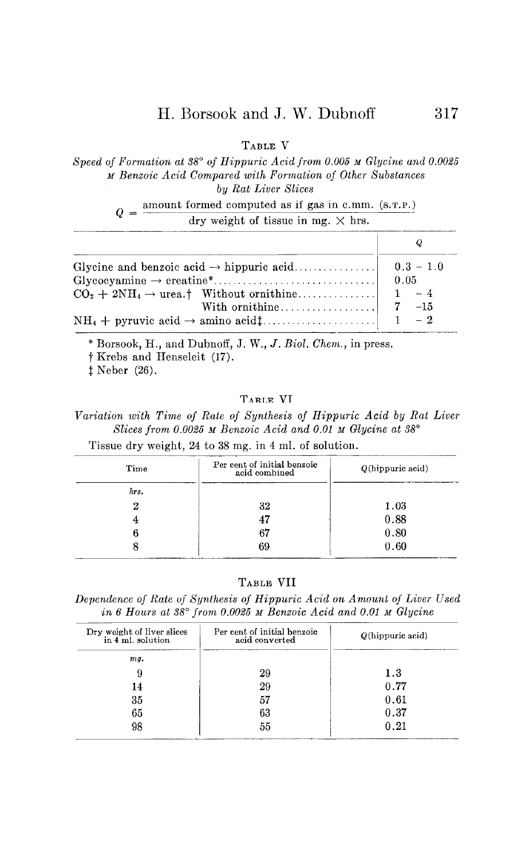TABLE V

Speed of Formation at  $38^{\circ}$  of Hippuric Acid from 0.005 M Glycine and 0.0025 M Benzoic Acid Compared with Formation of Other Substances by Rat Liver Slices

 $Q = \frac{\text{amount formed computed as if gas in c.mm. (s.r.P.)}}{q}$ dry weight of tissue in mg.  $\times$  hrs.

| $CO_2 + 2NH_4 \rightarrow$ urea.† Without ornithine  1 - 4 |  |
|------------------------------------------------------------|--|
|                                                            |  |
|                                                            |  |

\* Borsook, H., and Dubnoff, J. W., J. Biol. Chem., in press.

t Krebs and Henseleit (17).

 $‡$  Neber (26).

### TABLE VI

variation with Time of Rate of Synthesis of Hippuric Acid by Rat Liver Slices from 0.0025 M Benzoic Acid and 0.01 M Glycine at  $38^\circ$ Tissue dry weight, 24 to 38 mg. in 4 ml. of solution.

| Time | Per cent of initial benzoic<br>acid combined | Q(hippuric acid) |
|------|----------------------------------------------|------------------|
| hrs. |                                              |                  |
| ິ    | 32                                           | 1.03             |
|      |                                              | 0.88             |
|      | 67                                           | 0.80             |
|      | 69                                           | 0.60             |

TABLE VII

Dependence of Rate of Synthesis of Hippuric Acid on Amount of Liver Used in 6 Hours at 38° from 0.0025 M Benzoic Acid and 0.01 M Glycine

| Dry weight of liver slices<br>in 4 ml. solution | Per cent of initial benzoic<br>acid converted | $Q(\hbox{hippuric acid})$ |
|-------------------------------------------------|-----------------------------------------------|---------------------------|
| mq.                                             |                                               |                           |
| 9                                               | 29                                            | $1.3\,$                   |
| 14                                              | 29                                            | 0.77                      |
| 35                                              | 57                                            | 0.61                      |
| 65                                              | 63                                            | 0.37                      |
| 98                                              | 55                                            | 0.21                      |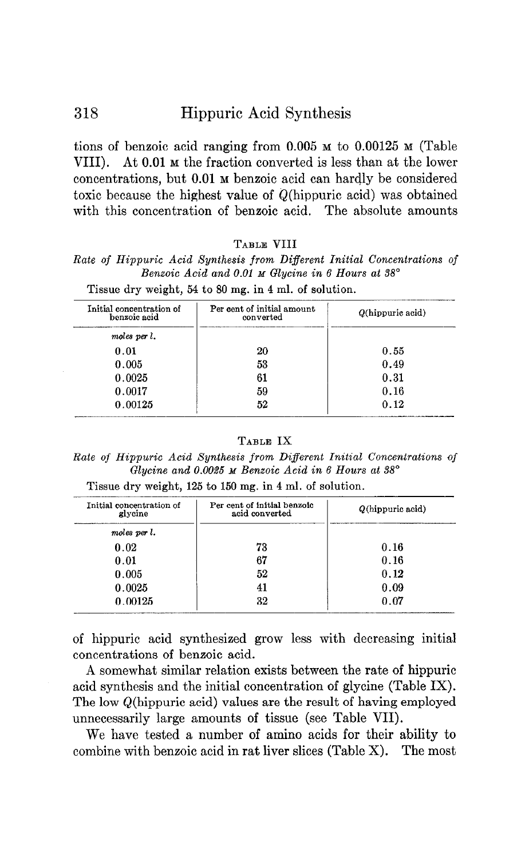tions of benzoic acid ranging from 0.005 M to 0.00125 M (Table VIII). At 0.01 M the fraction converted is less than at the lower concentrations, but 0.01 M benzoic acid can hardly be considered toxic because the highest value of Q(hippuric acid) was obtained with this concentration of benzoic acid. The absolute amounts

#### TABLE VIII

Rate of Hippuric Acid Synthesis from Different Initial Concentrations of Benzoic Acid and 0.01 M Glycine in 6 Hours at 38°

| Initial concentration of<br>benzoic acid | Per cent of initial amount<br>converted | $Q(\hbox{hippuric acid})$ |
|------------------------------------------|-----------------------------------------|---------------------------|
| moles per l.                             |                                         |                           |
| 0.01                                     | 20                                      | 0.55                      |
| 0.005                                    | 53                                      | 0.49                      |
| 0.0025                                   | 61                                      | 0.31                      |
| 0.0017                                   | 59                                      | 0.16                      |
| 0.00125                                  | 52                                      | 0.12                      |

Tissue dry weight, 54 to 80 mg. in 4 ml. of solution.

#### TABLE IX

Rate of Hippuric Acid Synthesis from Different Initial Concentrations of Glycine and 0.0025  $\boldsymbol{\mu}$  Benzoic Acid in 6 Hours at 38°

| Tissue dry weight, 125 to 150 mg. in 4 ml. of solution. |  |  |  |  |  |  |  |
|---------------------------------------------------------|--|--|--|--|--|--|--|
|---------------------------------------------------------|--|--|--|--|--|--|--|

| Initial concentration of<br>glycine | Per cent of initial benzoic<br>acid converted | $Q(\text{hippuric acid})$ |
|-------------------------------------|-----------------------------------------------|---------------------------|
| moles per l.                        |                                               |                           |
| 0.02                                | 73                                            | 0.16                      |
| 0.01                                | 67                                            | 0.16                      |
| 0.005                               | 52                                            | 0.12                      |
| 0.0025                              | 41                                            | 0.09                      |
| 0.00125                             | 32                                            | 0.07                      |

of hippuric acid synthesized grow less with decreasing initial concentrations of benzoic acid.

A somewhat similar relation exists between the rate of hippuric acid synthesis and the initial concentration of glycine (Table IX). The low Q(hippuric acid) values are the result of having employed unnecessarily large amounts of tissue (see Table VII).

We have tested a number of amino acids for their ability to combine with benzoic acid in rat liver slices (Table X). The most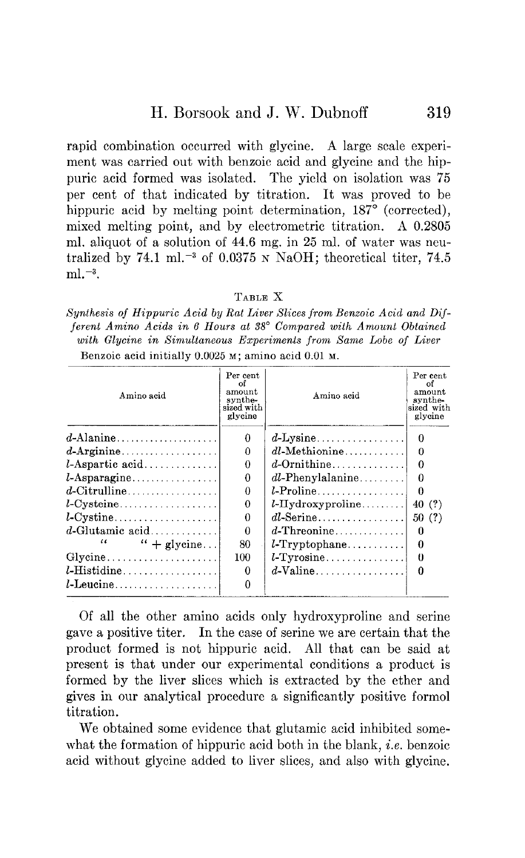rapid combination occurred with glycine. A large scale experiment was carried out with benzoic acid and glycine and the hippuric acid formed was isolated. The yield on isolation was 75 per cent of that indicated by titration. It was proved to be hippuric acid by melting point determination, 187° (corrected), mixed melting point, and by electrometric titration. A 0.2805 ml. aliquot of a solution of 44.6 mg. in 25 ml. of water was neutralized by 74.1 ml.<sup>-3</sup> of 0.0375 N NaOH; theoretical titer, 74.5  $ml. -3.$ 

#### TABLE X

Synthesis oj Hippuric Acid by Rat Liver Slices from Benzoic Acid and Dijferent Amino Acids in 6 Hours at 38° Compared with Amount Obtained with Glycine in Simultaneous Experiments from Same Lobe of Liver Benzoic acid initially 0.0025 M; amino acid 0.01 M.

| Amino acid                  | Per cent<br>ΩŤ<br>amount<br>synthe-<br>sized with<br>glycine | Amino acid          | Per cent<br>Ωf<br>amount<br>synthe-<br>sized with<br>glycine |
|-----------------------------|--------------------------------------------------------------|---------------------|--------------------------------------------------------------|
| $d$ -Alanine                | 0                                                            | $d$ -Lysine         | $\theta$                                                     |
| $d$ -Arginine               | 0                                                            | $dl$ -Methionine    | 0                                                            |
| $l$ -Aspartic acid          | 0                                                            | $d$ -Ornithine      | 0                                                            |
| $l$ -Asparagine             | 0                                                            | $dl$ -Phenylalanine | 0                                                            |
| $d$ -Citrulline             | 0                                                            | $l$ -Proline        | $\theta$                                                     |
| $l$ -Cysteine               | 0                                                            | $l$ -Hydroxyproline | 40 (?)                                                       |
| $l$ -Cystine                | $\Omega$                                                     | $dl$ -Serine        | 50(?)                                                        |
| $d$ -Glutamic acid          | $\Omega$                                                     | $d$ -Threonine      | 0                                                            |
| $\iota\iota$<br>" + glycine | 80                                                           | $l$ -Tryptophane    | 0                                                            |
| Glycine                     | 100                                                          | $l$ -Tyrosine       | 0                                                            |
| $l$ -Histidine              | 0                                                            | $d$ -Valine         | $\Omega$                                                     |
| $l$ -Leucine                | 0                                                            |                     |                                                              |

Of all the other amino acids only hydroxyproline and serine gave a positive titer. In the case of serine we are certain that the product formed is not hippuric acid. All that can be said at present is that under our experimental conditions a product is formed by the liver slices which is extracted by the ether and gives in our analytical procedure a significantly positive form01 titration.

We obtained some evidence that glutamic acid inhibited somewhat the formation of hippuric acid both in the blank, *i.e.* benzoic acid without glycine added to liver slices, and also with glycine.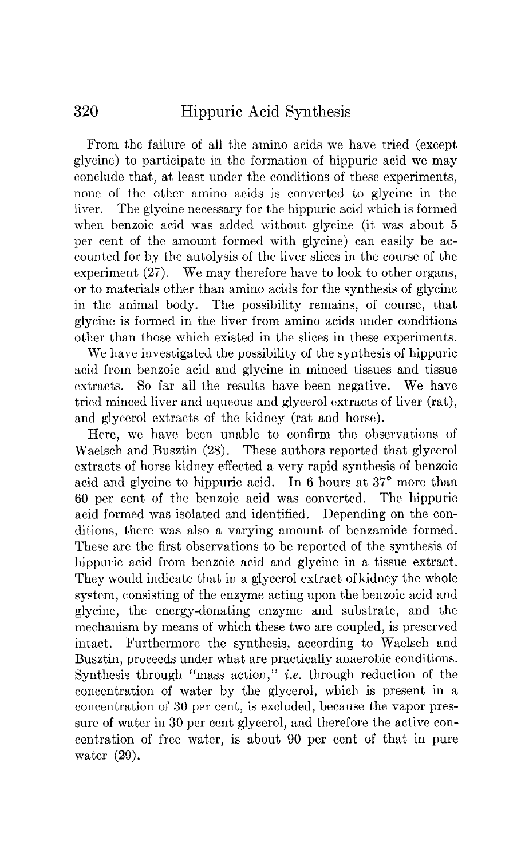From the failure of all the amino acids we have tried (except glycine) to participate in the formation of hippuric acid we may conclude that, at least under the conditions of these experiments, none of the other amino acids is converted to glycine in the liver. The glycine necessary for the hippuric acid which is formed when benzoic acid was added without glycine (it was about 5 per cent of the amount formed with glycine) can easily be accounted for by the autolysis of the liver slices in the course of the experiment  $(27)$ . We may therefore have to look to other organs, or to materials other than amino acids for the synthesis of glycine in the animal body. The possibility remains, of course, that glycine is formed in the liver from amino acids under conditions other than those which existed in the slices in these experiments.

We have investigated the possibility of the synthesis of hippuric acid from benzoic acid and glycine in minced tissues and tissue extracts. So far all the results have been negative. We have tried minced liver and aqueous and glycerol extracts of liver (rat), and glycerol extracts of the kidney (rat and horse).

Here, we have been unable to confirm the observations of Waelsch and Busztin (28). These authors reported that glycerol extracts of horse kidney effected a very rapid synthesis of benzoic acid and glycine to hippuric acid. In 6 hours at 37° more than 60 per cent of the benzoic acid was converted. The hippuric acid formed was isolated and identified. Depending on the conditions, there was also a varying amount of benzamide formed. These are the first observations to be reported of the synthesis of hippuric acid from benzoic acid and glycine in a tissue extract. They would indicate that in a glycerol extract of kidney the whole system, consisting of the enzyme acting upon the benzoic acid and glycine, the energy-donating enzyme and substrate, and the mechanism by means of which these two are coupled, is preserved intact. Furthermore the synthesis, according to Waelsch and Busztin, proceeds under what are practically anaerobic conditions. Synthesis through "mass action," i.e. through reduction of the concentration of water by the glycerol, which is present in a concentration of 30 per cent, is excluded, because the vapor pressure of water in 30 per cent glycerol, and therefore the active concentration of free water, is about 90 per cent of that in pure water (29).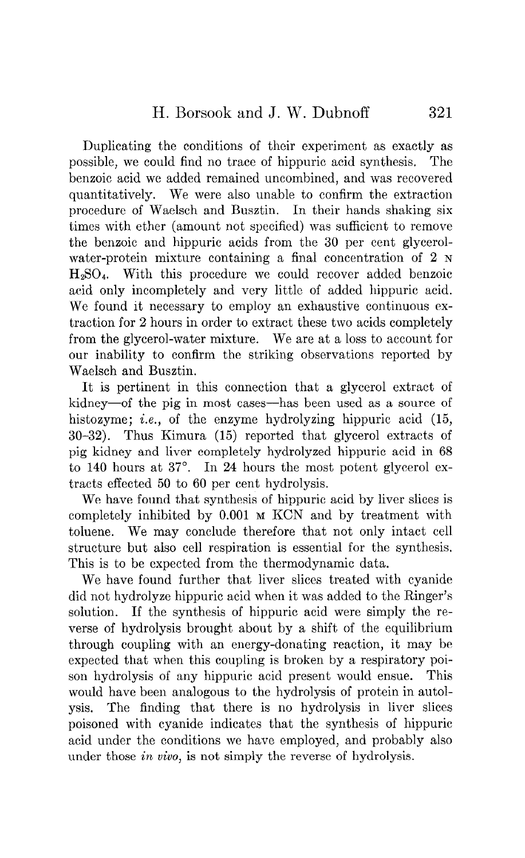Duplicating the conditions of their experiment as exactly as possible, we could find no trace of hippuric acid synthesis. The benxoic acid we added remained uncombined, and was recovered quantitatively. We were also unable to confirm the extraction procedure of Waelsch and Busztin. In their hands shaking six times with ether (amount not specified) was sufficient to remove the benzoic and hippuric acids from the 30 per cent glycerolwater-protein mixture containing a final concentration of 2 N HzS04. With this procedure we could recover added benzoic acid only incompletely and very little of added hippuric acid. We found it necessary to employ an exhaustive continuous extraction for 2 hours in order to extract these two acids completely from the glycerol-water mixture. We are at a loss to account for our inability to confirm the striking observations reported by Waelsch and Busztin.

It is pertinent in this connection that a glycerol extract of kidney—of the pig in most cases—has been used as a source of histozyme; *i.e.*, of the enzyme hydrolyzing hippuric acid (15, 30-32). Thus Kimura (15) reported that glycerol extracts of pig kidney and liver completely hydrolyzed hippuric acid in 68 to 140 hours at  $37^\circ$ . In 24 hours the most potent glycerol extracts effected 50 to 60 per cent hydrolysis.

We have found that synthesis of hippuric acid by liver slices is completely inhibited by 0.001 M KCN and by treatment with toluene. We may conclude therefore that not only intact cell structure but also cell respiration is essential for the synthesis. This is to be expected from the thermodynamic data.

We have found further that liver slices treated with cyanide did not hydrolyze hippuric acid when it was added to the Ringer's solution. If the synthesis of hippuric acid were simply the reverse of hydrolysis brought about by a shift of the equilibrium through coupling with an energy-donating reaction, it may be expected that when this coupling is broken by a respiratory poison hydrolysis of any hippuric acid present would ensue. This would have been analogous to the hydrolysis of protein in autolysis. The finding that there is no hydrolysis in liver slices poisoned with cyanide indicates that the synthesis of hippuric acid under the conditions we have employed, and probably also under those *in vivo*, is not simply the reverse of hydrolysis.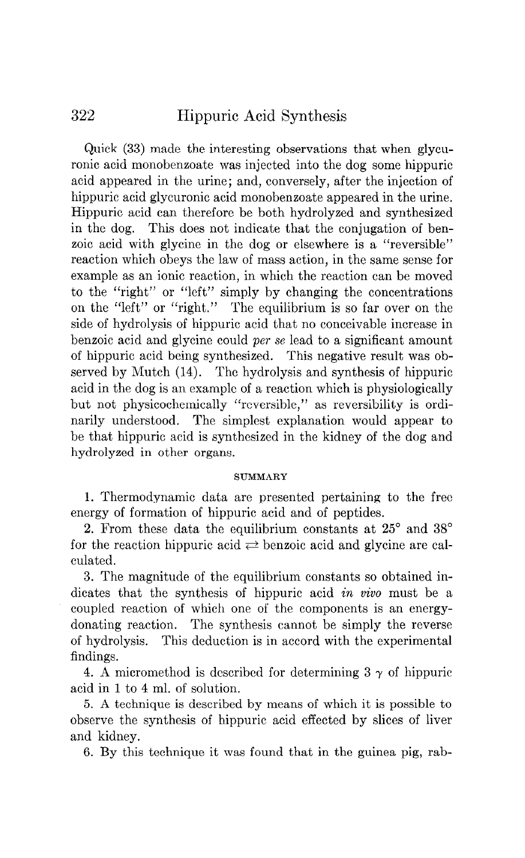Quick (33) made the interesting observations that when glycuronic acid monobenzoate was injected into the dog some hippuric acid appeared in the urine; and, conversely, after the injection of hippuric acid glycuronic acid monobenzoate appeared in the urine. Hippuric acid can therefore be both hydrolyzed and synthesized in the dog. This does not indicate that the conjugation of benzoic acid with glycine in the dog or elsewhere is a "reversible" reaction which obeys the law of mass action, in the same sense for example as an ionic reaction, in which the reaction can be moved to the "right" or "left" simply by changing the concentrations on the "left" or "right." The equilibrium is so far over on the side of hydrolysis of hippuric acid that no conceivable increase in benzoic acid and glycine could per se lead to a significant amount of hippuric acid being synthesized. This negative result was observed by Mutch (14). The hydrolysis and synthesis of hippuric acid in the dog is an example of a reaction which is physiologically but not physicochemically "reversible," as reversibility is ordinarily understood. The simplest explanation would appear to be that hippuric acid is synthesized in the kidney of the dog and hydrolyzed in other organs.

#### **SUMMARY**

1. Thermodynamic data are presented pertaining to the free energy of formation of hippuric acid and of peptides.

2. From these data the equilibrium constants at  $25^{\circ}$  and  $38^{\circ}$ for the reaction hippuric acid  $\rightleftharpoons$  benzoic acid and glycine are calculated.

3. The magnitude of the equilibrium constants so obtained indicates that the synthesis of hippuric acid in vivo must be a coupled reaction of which one of the components is an energydonating reaction. The synthesis cannot be simply the reverse of hydrolysis. This deduction is in accord with the experimental findings.

4. A micromethod is described for determining  $3 \gamma$  of hippuric acid in 1 to 4 ml. of solution.

5. A technique is described by means of which it is possible to observe the synthesis of hippuric acid effected by slices of liver and kidney.

6. By this technique it was found that in the guinea pig, rab-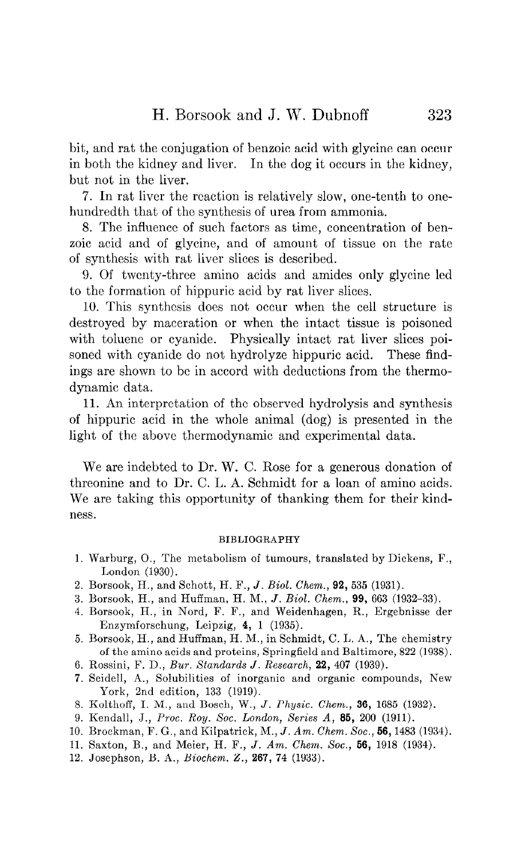bit, and rat the conjugation of benzoic acid with glycine can occur in both the kidney and liver. In the dog it occurs in the kidney, but not in the liver.

7. In rat liver the reaction is relatively slow, one-tenth to onehundredth that of the synthesis of urea from ammonia.

8. The influence of such factors as time, concentration of benzoic acid and of glycine, and of amount of tissue on the rate of synthesis with rat liver slices is described.

9. Of twenty-three amino acids and amides only glycine led to the formation of hippuric acid by rat liver slices.

10. This synthesis does not occur when the cell structure is destroyed by maceration or when the intact tissue is poisoned with toluene or cyanide. Physically intact rat liver slices poisoned with cyanide do not hydrolyze hippuric acid. These findings are shown to be in accord with deductions from the thermodynamic data.

11. An interpretation of the observed hydrolysis and synthesis of hippuric acid in the whole animal (dog) is presented in the light of the above thermodynamic and experimental data.

We are indebted to Dr. W. C. Rose for a generous donation of threonine and to Dr. C. L. A. Schmidt for a loan of amino acids. We are taking this opportunity of thanking them for their kindness.

#### BIBLIOGRAPHY

- 1. Warburg, O., The metabolism of tumours, translated by Dickens, F., London (1930).
- 2. Borsook, H., and Schott, H. F., J. Biol. Chem., 92,535 (1931).
- 3. Borsook, H., and Huffman, H. M., J. Biol. Chem., 99, 663 (1932-33).
- 4. Borsook, H., in Nord, F. F., and Weidenhagen, R., Ergebnisse der Enzymforschung, Leipzig, 4, 1 (1935).
- 5. Borsook, H., and Huffman, H. M., in Schmidt, C. L. A., The chemistry of the amino acids and proteins, Springfield and Baltimore, 822 (1938).
- 6. Rossini, F. D., BUT. Standards J. Research, 22, 407 (1939).
- 7. Seidell, A., Solubilities of inorganic and organic compounds, New York, 2nd edition, 133 (1919).
- 8. Kolthoff, I. M., and Bosch, W., J. Physic. Chem., 36, 1685 (1932).
- 9. Kendall, J., Proc. Roy. Soc. London, Series A, 85, 200 (1911).
- 10. Brockman, F. G., and Kilpatrick, M., J. Am. Chem. Soc., 56, 1483 (1934).
- 11. Saxton, B., and Meier, H. F., J. Am. Chem. Soc., 56, 1918 (1934).
- 12. Josephson, B. A., Biochem. Z., 267, 74 (1933).